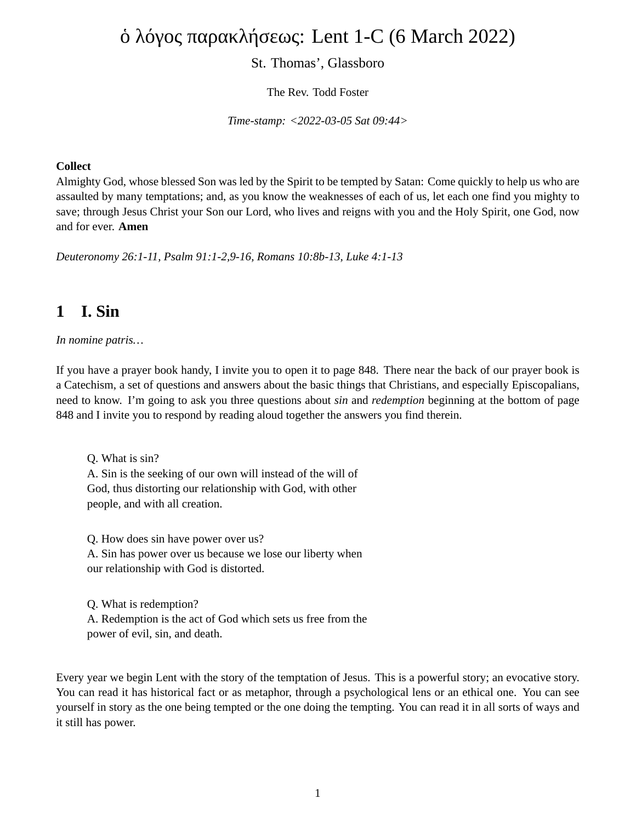# ὁ λόγος παρακλήσεως: Lent 1-C (6 March 2022)

### St. Thomas', Glassboro

The Rev. Todd Foster

*Time-stamp: <2022-03-05 Sat 09:44>*

#### **Collect**

Almighty God, whose blessed Son was led by the Spirit to be tempted by Satan: Come quickly to help us who are assaulted by many temptations; and, as you know the weaknesses of each of us, let each one find you mighty to save; through Jesus Christ your Son our Lord, who lives and reigns with you and the Holy Spirit, one God, now and for ever. **Amen**

*Deuteronomy 26:1-11, Psalm 91:1-2,9-16, Romans 10:8b-13, Luke 4:1-13*

### **1 I. Sin**

*In nomine patris…*

If you have a prayer book handy, I invite you to open it to page 848. There near the back of our prayer book is a Catechism, a set of questions and answers about the basic things that Christians, and especially Episcopalians, need to know. I'm going to ask you three questions about *sin* and *redemption* beginning at the bottom of page 848 and I invite you to respond by reading aloud together the answers you find therein.

Q. What is sin? A. Sin is the seeking of our own will instead of the will of God, thus distorting our relationship with God, with other people, and with all creation.

Q. How does sin have power over us? A. Sin has power over us because we lose our liberty when our relationship with God is distorted.

Q. What is redemption? A. Redemption is the act of God which sets us free from the power of evil, sin, and death.

Every year we begin Lent with the story of the temptation of Jesus. This is a powerful story; an evocative story. You can read it has historical fact or as metaphor, through a psychological lens or an ethical one. You can see yourself in story as the one being tempted or the one doing the tempting. You can read it in all sorts of ways and it still has power.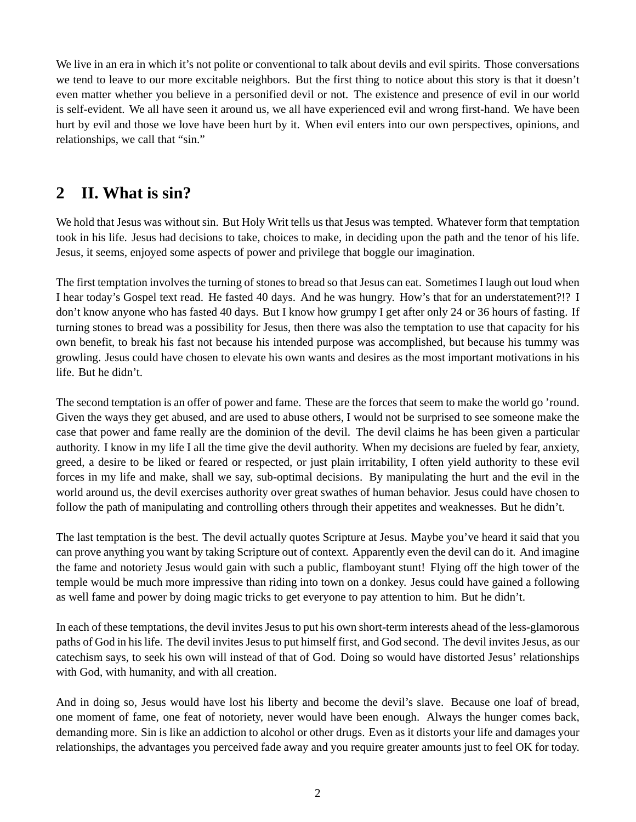We live in an era in which it's not polite or conventional to talk about devils and evil spirits. Those conversations we tend to leave to our more excitable neighbors. But the first thing to notice about this story is that it doesn't even matter whether you believe in a personified devil or not. The existence and presence of evil in our world is self-evident. We all have seen it around us, we all have experienced evil and wrong first-hand. We have been hurt by evil and those we love have been hurt by it. When evil enters into our own perspectives, opinions, and relationships, we call that "sin."

# **2 II. What is sin?**

We hold that Jesus was without sin. But Holy Writ tells us that Jesus was tempted. Whatever form that temptation took in his life. Jesus had decisions to take, choices to make, in deciding upon the path and the tenor of his life. Jesus, it seems, enjoyed some aspects of power and privilege that boggle our imagination.

The first temptation involves the turning of stones to bread so that Jesus can eat. Sometimes I laugh out loud when I hear today's Gospel text read. He fasted 40 days. And he was hungry. How's that for an understatement?!? I don't know anyone who has fasted 40 days. But I know how grumpy I get after only 24 or 36 hours of fasting. If turning stones to bread was a possibility for Jesus, then there was also the temptation to use that capacity for his own benefit, to break his fast not because his intended purpose was accomplished, but because his tummy was growling. Jesus could have chosen to elevate his own wants and desires as the most important motivations in his life. But he didn't.

The second temptation is an offer of power and fame. These are the forces that seem to make the world go 'round. Given the ways they get abused, and are used to abuse others, I would not be surprised to see someone make the case that power and fame really are the dominion of the devil. The devil claims he has been given a particular authority. I know in my life I all the time give the devil authority. When my decisions are fueled by fear, anxiety, greed, a desire to be liked or feared or respected, or just plain irritability, I often yield authority to these evil forces in my life and make, shall we say, sub-optimal decisions. By manipulating the hurt and the evil in the world around us, the devil exercises authority over great swathes of human behavior. Jesus could have chosen to follow the path of manipulating and controlling others through their appetites and weaknesses. But he didn't.

The last temptation is the best. The devil actually quotes Scripture at Jesus. Maybe you've heard it said that you can prove anything you want by taking Scripture out of context. Apparently even the devil can do it. And imagine the fame and notoriety Jesus would gain with such a public, flamboyant stunt! Flying off the high tower of the temple would be much more impressive than riding into town on a donkey. Jesus could have gained a following as well fame and power by doing magic tricks to get everyone to pay attention to him. But he didn't.

In each of these temptations, the devil invites Jesus to put his own short-term interests ahead of the less-glamorous paths of God in his life. The devil invites Jesus to put himself first, and God second. The devil invites Jesus, as our catechism says, to seek his own will instead of that of God. Doing so would have distorted Jesus' relationships with God, with humanity, and with all creation.

And in doing so, Jesus would have lost his liberty and become the devil's slave. Because one loaf of bread, one moment of fame, one feat of notoriety, never would have been enough. Always the hunger comes back, demanding more. Sin is like an addiction to alcohol or other drugs. Even as it distorts your life and damages your relationships, the advantages you perceived fade away and you require greater amounts just to feel OK for today.